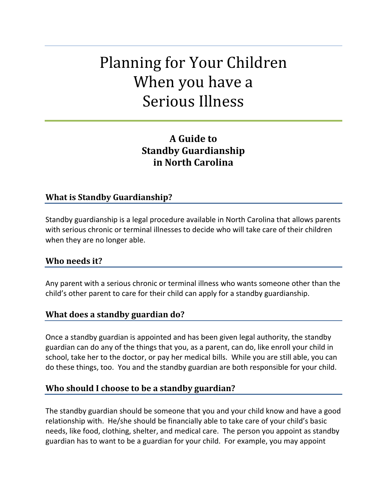# Planning for Your Children When you have a Serious Illness

# **A Guide to Standby Guardianship in North Carolina**

## **What is Standby Guardianship?**

Standby guardianship is a legal procedure available in North Carolina that allows parents with serious chronic or terminal illnesses to decide who will take care of their children when they are no longer able.

#### **Who needs it?**

Any parent with a serious chronic or terminal illness who wants someone other than the child's other parent to care for their child can apply for a standby guardianship.

## **What does a standby guardian do?**

Once a standby guardian is appointed and has been given legal authority, the standby guardian can do any of the things that you, as a parent, can do, like enroll your child in school, take her to the doctor, or pay her medical bills. While you are still able, you can do these things, too. You and the standby guardian are both responsible for your child.

## **Who should I choose to be a standby guardian?**

The standby guardian should be someone that you and your child know and have a good relationship with. He/she should be financially able to take care of your child's basic needs, like food, clothing, shelter, and medical care. The person you appoint as standby guardian has to want to be a guardian for your child. For example, you may appoint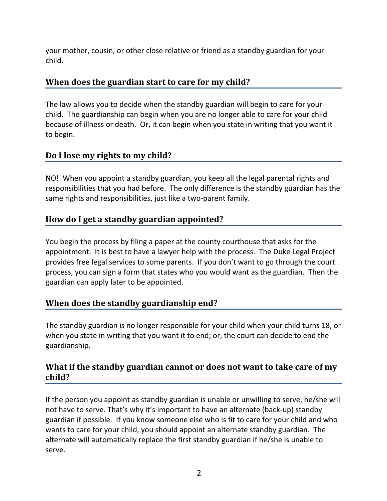your mother, cousin, or other close relative or friend as a standby guardian for your child.

# **When does the guardian start to care for my child?**

The law allows you to decide when the standby guardian will begin to care for your child. The guardianship can begin when you are no longer able to care for your child because of illness or death. Or, it can begin when you state in writing that you want it to begin.

# **Do I lose my rights to my child?**

NO! When you appoint a standby guardian, you keep all the legal parental rights and responsibilities that you had before. The only difference is the standby guardian has the same rights and responsibilities, just like a two-parent family.

# **How do I get a standby guardian appointed?**

You begin the process by filing a paper at the county courthouse that asks for the appointment. It is best to have a lawyer help with the process. The Duke Legal Project provides free legal services to some parents. If you don't want to go through the court process, you can sign a form that states who you would want as the guardian. Then the guardian can apply later to be appointed.

# **When does the standby guardianship end?**

The standby guardian is no longer responsible for your child when your child turns 18, or when you state in writing that you want it to end; or, the court can decide to end the guardianship.

# **What if the standby guardian cannot or does not want to take care of my child?**

If the person you appoint as standby guardian is unable or unwilling to serve, he/she will not have to serve. That's why it's important to have an alternate (back‐up) standby guardian if possible. If you know someone else who is fit to care for your child and who wants to care for your child, you should appoint an alternate standby guardian. The alternate will automatically replace the first standby guardian if he/she is unable to serve.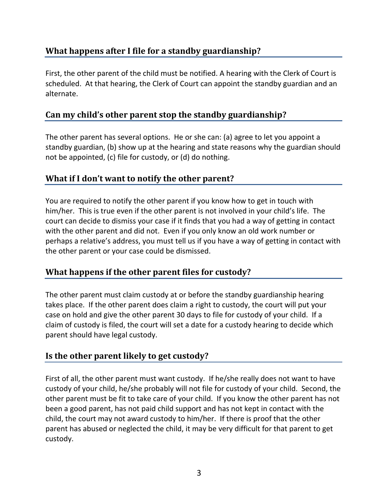# **What happens after I file for a standby guardianship?**

First, the other parent of the child must be notified. A hearing with the Clerk of Court is scheduled. At that hearing, the Clerk of Court can appoint the standby guardian and an alternate.

# **Can my child's other parent stop the standby guardianship?**

The other parent has several options. He or she can: (a) agree to let you appoint a standby guardian, (b) show up at the hearing and state reasons why the guardian should not be appointed, (c) file for custody, or (d) do nothing.

# **What if I don't want to notify the other parent?**

You are required to notify the other parent if you know how to get in touch with him/her. This is true even if the other parent is not involved in your child's life. The court can decide to dismiss your case if it finds that you had a way of getting in contact with the other parent and did not. Even if you only know an old work number or perhaps a relative's address, you must tell us if you have a way of getting in contact with the other parent or your case could be dismissed.

# **What happens if the other parent files for custody?**

The other parent must claim custody at or before the standby guardianship hearing takes place. If the other parent does claim a right to custody, the court will put your case on hold and give the other parent 30 days to file for custody of your child. If a claim of custody is filed, the court will set a date for a custody hearing to decide which parent should have legal custody.

# **Is the other parent likely to get custody?**

First of all, the other parent must want custody. If he/she really does not want to have custody of your child, he/she probably will not file for custody of your child. Second, the other parent must be fit to take care of your child. If you know the other parent has not been a good parent, has not paid child support and has not kept in contact with the child, the court may not award custody to him/her. If there is proof that the other parent has abused or neglected the child, it may be very difficult for that parent to get custody.